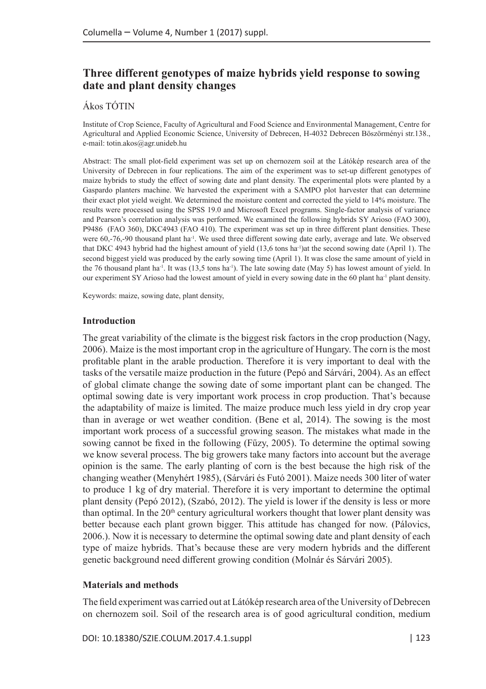# **Three different genotypes of maize hybrids yield response to sowing date and plant density changes**

# Ákos TÓTIN

Institute of Crop Science, Faculty of Agricultural and Food Science and Environmental Management, Centre for Agricultural and Applied Economic Science, University of Debrecen, H-4032 Debrecen Böszörményi str.138., e-mail: totin.akos@agr.unideb.hu

Abstract: The small plot-field experiment was set up on chernozem soil at the Látókép research area of the University of Debrecen in four replications. The aim of the experiment was to set-up different genotypes of maize hybrids to study the effect of sowing date and plant density. The experimental plots were planted by a Gaspardo planters machine. We harvested the experiment with a SAMPO plot harvester that can determine their exact plot yield weight. We determined the moisture content and corrected the yield to 14% moisture. The results were processed using the SPSS 19.0 and Microsoft Excel programs. Single-factor analysis of variance and Pearson's correlation analysis was performed. We examined the following hybrids SY Arioso (FAO 300), P9486 (FAO 360), DKC4943 (FAO 410). The experiment was set up in three different plant densities. These were 60,-76,-90 thousand plant ha<sup>-1</sup>. We used three different sowing date early, average and late. We observed that DKC 4943 hybrid had the highest amount of yield (13,6 tons ha-1)at the second sowing date (April 1). The second biggest yield was produced by the early sowing time (April 1). It was close the same amount of yield in the 76 thousand plant ha-1. It was (13,5 tons ha-1). The late sowing date (May 5) has lowest amount of yield. In our experiment SY Arioso had the lowest amount of yield in every sowing date in the 60 plant ha-1 plant density.

Keywords: maize, sowing date, plant density,

#### **Introduction**

The great variability of the climate is the biggest risk factors in the crop production (Nagy, 2006). Maize is the most important crop in the agriculture of Hungary. The corn is the most profitable plant in the arable production. Therefore it is very important to deal with the tasks of the versatile maize production in the future (Pepó and Sárvári, 2004). As an effect of global climate change the sowing date of some important plant can be changed. The optimal sowing date is very important work process in crop production. That's because the adaptability of maize is limited. The maize produce much less yield in dry crop year than in average or wet weather condition. (Bene et al, 2014). The sowing is the most important work process of a successful growing season. The mistakes what made in the sowing cannot be fixed in the following (Fűzy, 2005). To determine the optimal sowing we know several process. The big growers take many factors into account but the average opinion is the same. The early planting of corn is the best because the high risk of the changing weather (Menyhért 1985), (Sárvári és Futó 2001). Maize needs 300 liter of water to produce 1 kg of dry material. Therefore it is very important to determine the optimal plant density (Pepó 2012), (Szabó, 2012). The yield is lower if the density is less or more than optimal. In the  $20<sup>th</sup>$  century agricultural workers thought that lower plant density was better because each plant grown bigger. This attitude has changed for now. (Pálovics, 2006.). Now it is necessary to determine the optimal sowing date and plant density of each type of maize hybrids. That's because these are very modern hybrids and the different genetic background need different growing condition (Molnár és Sárvári 2005).

#### **Materials and methods**

The field experiment was carried out at Látókép research area of the University of Debrecen on chernozem soil. Soil of the research area is of good agricultural condition, medium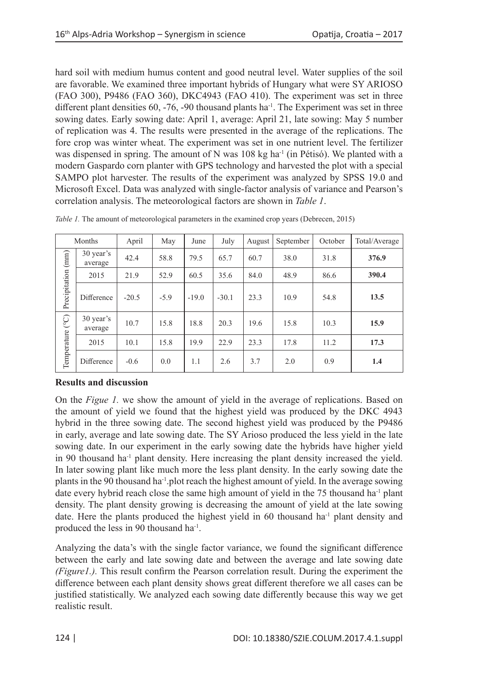hard soil with medium humus content and good neutral level. Water supplies of the soil are favorable. We examined three important hybrids of Hungary what were SY ARIOSO (FAO 300), P9486 (FAO 360), DKC4943 (FAO 410). The experiment was set in three different plant densities  $60, -76, -90$  thousand plants ha<sup>-1</sup>. The Experiment was set in three sowing dates. Early sowing date: April 1, average: April 21, late sowing: May 5 number of replication was 4. The results were presented in the average of the replications. The fore crop was winter wheat. The experiment was set in one nutrient level. The fertilizer was dispensed in spring. The amount of N was  $108 \text{ kg ha}^{-1}$  (in Pétisó). We planted with a modern Gaspardo corn planter with GPS technology and harvested the plot with a special SAMPO plot harvester. The results of the experiment was analyzed by SPSS 19.0 and Microsoft Excel. Data was analyzed with single-factor analysis of variance and Pearson's correlation analysis. The meteorological factors are shown in *Table 1*.

| Months                         |                      | April   | May    | June    | July    | August | September | October | Total/Average |
|--------------------------------|----------------------|---------|--------|---------|---------|--------|-----------|---------|---------------|
| (mm)<br>Precipitation          | 30 year's<br>average | 42.4    | 58.8   | 79.5    | 65.7    | 60.7   | 38.0      | 31.8    | 376.9         |
|                                | 2015                 | 21.9    | 52.9   | 60.5    | 35.6    | 84.0   | 48.9      | 86.6    | 390.4         |
|                                | Difference           | $-20.5$ | $-5.9$ | $-19.0$ | $-30.1$ | 23.3   | 10.9      | 54.8    | 13.5          |
| $\widetilde{C}$<br>Temperature | 30 year's<br>average | 10.7    | 15.8   | 18.8    | 20.3    | 19.6   | 15.8      | 10.3    | 15.9          |
|                                | 2015                 | 10.1    | 15.8   | 19.9    | 22.9    | 23.3   | 17.8      | 11.2    | 17.3          |
|                                | Difference           | $-0.6$  | 0.0    | 1.1     | 2.6     | 3.7    | 2.0       | 0.9     | 1.4           |

*Table 1*. The amount of meteorological parameters in the examined crop years (Debrecen, 2015)

# **Results and discussion**

On the *Figue 1.* we show the amount of yield in the average of replications. Based on the amount of yield we found that the highest yield was produced by the DKC 4943 hybrid in the three sowing date. The second highest yield was produced by the P9486 in early, average and late sowing date. The SY Arioso produced the less yield in the late sowing date. In our experiment in the early sowing date the hybrids have higher yield in 90 thousand ha<sup>-1</sup> plant density. Here increasing the plant density increased the yield. In later sowing plant like much more the less plant density. In the early sowing date the plants in the 90 thousand ha-1.plot reach the highest amount of yield. In the average sowing date every hybrid reach close the same high amount of yield in the  $75$  thousand ha<sup>-1</sup> plant density. The plant density growing is decreasing the amount of yield at the late sowing date. Here the plants produced the highest yield in 60 thousand  $ha^{-1}$  plant density and produced the less in 90 thousand ha<sup>-1</sup>.

Analyzing the data's with the single factor variance, we found the significant difference between the early and late sowing date and between the average and late sowing date *(Figure1.).* This result confirm the Pearson correlation result. During the experiment the difference between each plant density shows great different therefore we all cases can be justified statistically. We analyzed each sowing date differently because this way we get realistic result.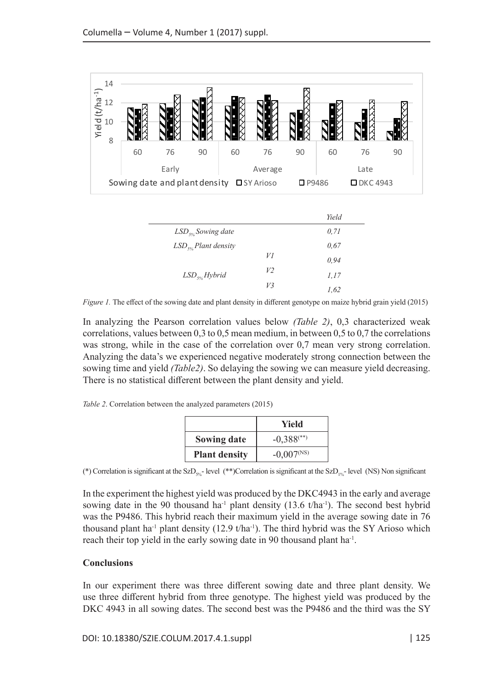

*Figure 1.* The effect of the sowing date and plant density in different genotype on maize hybrid grain yield (2015)

In analyzing the Pearson correlation values below *(Table 2)*, 0,3 characterized weak correlations, values between 0,3 to 0,5 mean medium, in between 0,5 to 0,7 the correlations was strong, while in the case of the correlation over 0,7 mean very strong correlation. Analyzing the data's we experienced negative moderately strong connection between the sowing time and yield *(Table2)*. So delaying the sowing we can measure yield decreasing. There is no statistical different between the plant density and yield.

*Table 2*. Correlation between the analyzed parameters (2015)

|                      | Yield                    |  |  |
|----------------------|--------------------------|--|--|
| <b>Sowing date</b>   | $-0,388$ <sup>(**)</sup> |  |  |
| <b>Plant density</b> | $-0,007$ <sup>(NS)</sup> |  |  |

(\*) Correlation is significant at the SzD $_{\rm sys}$  level (\*\*)Correlation is significant at the SzD<sub>1%</sub>- level (NS) Non significant

In the experiment the highest yield was produced by the DKC4943 in the early and average sowing date in the 90 thousand ha<sup>-1</sup> plant density (13.6 t/ha<sup>-1</sup>). The second best hybrid was the P9486. This hybrid reach their maximum yield in the average sowing date in 76 thousand plant ha<sup>-1</sup> plant density (12.9 t/ha<sup>-1</sup>). The third hybrid was the SY Arioso which reach their top yield in the early sowing date in 90 thousand plant ha<sup>-1</sup>.

### **Conclusions**

In our experiment there was three different sowing date and three plant density. We use three different hybrid from three genotype. The highest yield was produced by the DKC 4943 in all sowing dates. The second best was the P9486 and the third was the SY